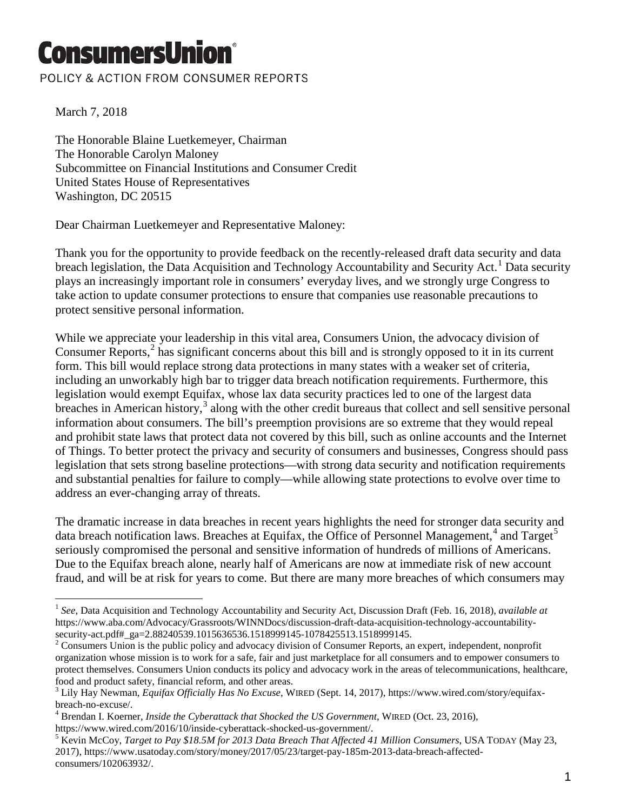## ConsumersUnion

## POLICY & ACTION FROM CONSUMER REPORTS

March 7, 2018

The Honorable Blaine Luetkemeyer, Chairman The Honorable Carolyn Maloney Subcommittee on Financial Institutions and Consumer Credit United States House of Representatives Washington, DC 20515

Dear Chairman Luetkemeyer and Representative Maloney:

Thank you for the opportunity to provide feedback on the recently-released draft data security and data breach legislation, the Data Acquisition and Technology Accountability and Security Act.<sup>[1](#page-0-0)</sup> Data security plays an increasingly important role in consumers' everyday lives, and we strongly urge Congress to take action to update consumer protections to ensure that companies use reasonable precautions to protect sensitive personal information.

While we appreciate your leadership in this vital area, Consumers Union, the advocacy division of Consumer Reports,<sup>[2](#page-0-1)</sup> has significant concerns about this bill and is strongly opposed to it in its current form. This bill would replace strong data protections in many states with a weaker set of criteria, including an unworkably high bar to trigger data breach notification requirements. Furthermore, this legislation would exempt Equifax, whose lax data security practices led to one of the largest data breaches in American history, $3$  along with the other credit bureaus that collect and sell sensitive personal information about consumers. The bill's preemption provisions are so extreme that they would repeal and prohibit state laws that protect data not covered by this bill, such as online accounts and the Internet of Things. To better protect the privacy and security of consumers and businesses, Congress should pass legislation that sets strong baseline protections—with strong data security and notification requirements and substantial penalties for failure to comply—while allowing state protections to evolve over time to address an ever-changing array of threats.

The dramatic increase in data breaches in recent years highlights the need for stronger data security and data breach notification laws. Breaches at Equifax, the Office of Personnel Management,<sup>[4](#page-0-3)</sup> and Target<sup>[5](#page-0-4)</sup> seriously compromised the personal and sensitive information of hundreds of millions of Americans. Due to the Equifax breach alone, nearly half of Americans are now at immediate risk of new account fraud, and will be at risk for years to come. But there are many more breaches of which consumers may

<span id="page-0-0"></span><sup>1</sup> *See*, Data Acquisition and Technology Accountability and Security Act, Discussion Draft (Feb. 16, 2018), *available at* https://www.aba.com/Advocacy/Grassroots/WINNDocs/discussion-draft-data-acquisition-technology-accountabilitysecurity-act.pdf#\_ga=2.88240539.1015636536.1518999145-1078425513.1518999145.<br><sup>2</sup> Consumers Union is the public policy and advocacy division of Consumer Reports, an expert, independent, nonprofit  $\overline{a}$ 

<span id="page-0-1"></span>organization whose mission is to work for a safe, fair and just marketplace for all consumers and to empower consumers to protect themselves. Consumers Union conducts its policy and advocacy work in the areas of telecommunications, healthcare, food and product safety, financial reform, and other areas.

<span id="page-0-2"></span><sup>3</sup> Lily Hay Newman, *Equifax Officially Has No Excuse*, WIRED (Sept. 14, 2017), https://www.wired.com/story/equifaxbreach-no-excuse/. <sup>4</sup> Brendan I. Koerner, *Inside the Cyberattack that Shocked the US Government*, WIRED (Oct. 23, 2016),

<span id="page-0-3"></span>https://www.wired.com/2016/10/inside-cyberattack-shocked-us-government/. <sup>5</sup> Kevin McCoy, *Target to Pay \$18.5M for 2013 Data Breach That Affected 41 Million Consumers*, USA TODAY (May 23,

<span id="page-0-4"></span><sup>2017),</sup> https://www.usatoday.com/story/money/2017/05/23/target-pay-185m-2013-data-breach-affectedconsumers/102063932/.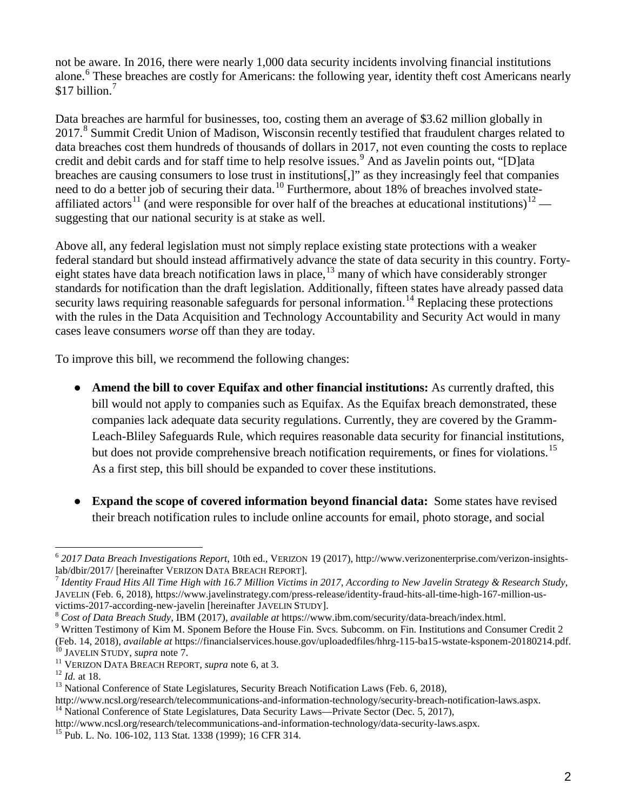not be aware. In 2016, there were nearly 1,000 data security incidents involving financial institutions alone.<sup>[6](#page-1-0)</sup> These breaches are costly for Americans: the following year, identity theft cost Americans nearly  $$17$  $$17$  billion.<sup>7</sup>

Data breaches are harmful for businesses, too, costing them an average of \$3.62 million globally in 2017.<sup>[8](#page-1-2)</sup> Summit Credit Union of Madison, Wisconsin recently testified that fraudulent charges related to data breaches cost them hundreds of thousands of dollars in 2017, not even counting the costs to replace credit and debit cards and for staff time to help resolve issues.<sup>[9](#page-1-3)</sup> And as Javelin points out, "[D]ata breaches are causing consumers to lose trust in institutions[,]" as they increasingly feel that companies need to do a better job of securing their data.<sup>[10](#page-1-4)</sup> Furthermore, about 18% of breaches involved state-affiliated actors<sup>[11](#page-1-5)</sup> (and were responsible for over half of the breaches at educational institutions)<sup>[12](#page-1-6)</sup> suggesting that our national security is at stake as well.

Above all, any federal legislation must not simply replace existing state protections with a weaker federal standard but should instead affirmatively advance the state of data security in this country. Fortyeight states have data breach notification laws in place, $13$  many of which have considerably stronger standards for notification than the draft legislation. Additionally, fifteen states have already passed data security laws requiring reasonable safeguards for personal information.<sup>[14](#page-1-8)</sup> Replacing these protections with the rules in the Data Acquisition and Technology Accountability and Security Act would in many cases leave consumers *worse* off than they are today.

To improve this bill, we recommend the following changes:

- **Amend the bill to cover Equifax and other financial institutions:** As currently drafted, this bill would not apply to companies such as Equifax. As the Equifax breach demonstrated, these companies lack adequate data security regulations. Currently, they are covered by the Gramm-Leach-Bliley Safeguards Rule, which requires reasonable data security for financial institutions, but does not provide comprehensive breach notification requirements, or fines for violations.<sup>[15](#page-1-9)</sup> As a first step, this bill should be expanded to cover these institutions.
- **Expand the scope of covered information beyond financial data:** Some states have revised their breach notification rules to include online accounts for email, photo storage, and social

<span id="page-1-0"></span><sup>6</sup> *2017 Data Breach Investigations Report*, 10th ed., VERIZON 19 (2017), http://www.verizonenterprise.com/verizon-insights- $\overline{a}$ 

<span id="page-1-1"></span>Identity Fraud Hits All Time High with 16.7 Million Victims in 2017, According to New Javelin Strategy & Research Study, JAVELIN (Feb. 6, 2018), https://www.javelinstrategy.com/press-release/identity-fraud-hits-all-time-high-167-million-us-

<span id="page-1-3"></span><span id="page-1-2"></span>

victims-2017-according-new-javelin [hereinafter JAVELIN STUDY].<br>
<sup>8</sup> Cost of Data Breach Study, IBM (2017), available at https://www.ibm.com/security/data-breach/index.html.<br>
<sup>9</sup> Written Testimony of Kim M. Sponem Before t

<span id="page-1-5"></span>

<span id="page-1-6"></span>

<span id="page-1-4"></span><sup>&</sup>lt;sup>10</sup> JAVELIN STUDY, *supra* note 7.<br><sup>11</sup> VERIZON DATA BREACH REPORT, *supra* note 6, at 3.<br><sup>12</sup> *Id.* at 18.<br><sup>13</sup> National Conference of State Legislatures, Security Breach Notification Laws (Feb. 6, 2018),

<span id="page-1-8"></span><span id="page-1-7"></span>http://www.ncsl.org/research/telecommunications-and-information-technology/security-breach-notification-laws.aspx. <sup>14</sup> National Conference of State Legislatures, Data Security Laws—Private Sector (Dec. 5, 2017),

http://www.ncsl.org/research/telecommunications-and-information-technology/data-security-laws.aspx. <sup>15</sup> Pub. L. No. 106-102, 113 Stat. 1338 (1999); 16 CFR 314.

<span id="page-1-9"></span>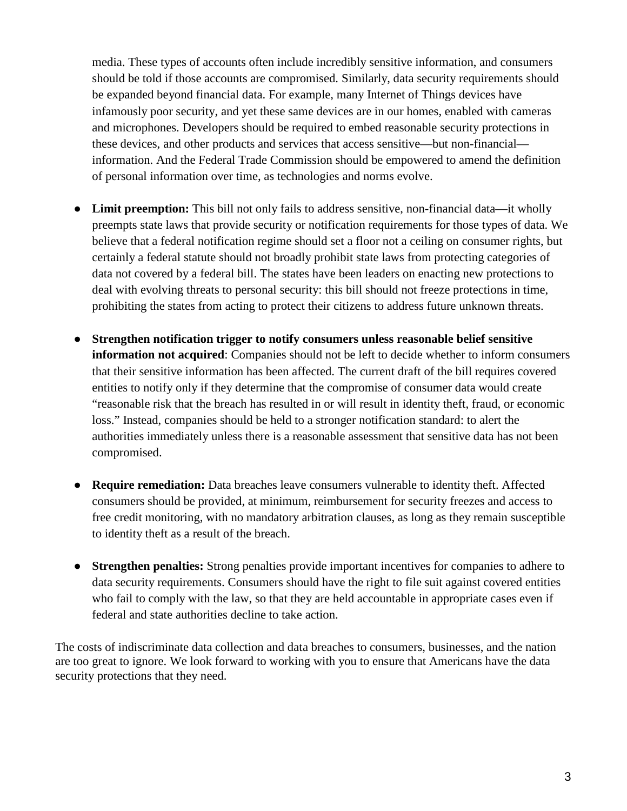media. These types of accounts often include incredibly sensitive information, and consumers should be told if those accounts are compromised. Similarly, data security requirements should be expanded beyond financial data. For example, many Internet of Things devices have infamously poor security, and yet these same devices are in our homes, enabled with cameras and microphones. Developers should be required to embed reasonable security protections in these devices, and other products and services that access sensitive—but non-financial information. And the Federal Trade Commission should be empowered to amend the definition of personal information over time, as technologies and norms evolve.

- **Limit preemption:** This bill not only fails to address sensitive, non-financial data—it wholly preempts state laws that provide security or notification requirements for those types of data. We believe that a federal notification regime should set a floor not a ceiling on consumer rights, but certainly a federal statute should not broadly prohibit state laws from protecting categories of data not covered by a federal bill. The states have been leaders on enacting new protections to deal with evolving threats to personal security: this bill should not freeze protections in time, prohibiting the states from acting to protect their citizens to address future unknown threats.
- **Strengthen notification trigger to notify consumers unless reasonable belief sensitive information not acquired**: Companies should not be left to decide whether to inform consumers that their sensitive information has been affected. The current draft of the bill requires covered entities to notify only if they determine that the compromise of consumer data would create "reasonable risk that the breach has resulted in or will result in identity theft, fraud, or economic loss." Instead, companies should be held to a stronger notification standard: to alert the authorities immediately unless there is a reasonable assessment that sensitive data has not been compromised.
- **Require remediation:** Data breaches leave consumers vulnerable to identity theft. Affected consumers should be provided, at minimum, reimbursement for security freezes and access to free credit monitoring, with no mandatory arbitration clauses, as long as they remain susceptible to identity theft as a result of the breach.
- **Strengthen penalties:** Strong penalties provide important incentives for companies to adhere to data security requirements. Consumers should have the right to file suit against covered entities who fail to comply with the law, so that they are held accountable in appropriate cases even if federal and state authorities decline to take action.

The costs of indiscriminate data collection and data breaches to consumers, businesses, and the nation are too great to ignore. We look forward to working with you to ensure that Americans have the data security protections that they need.